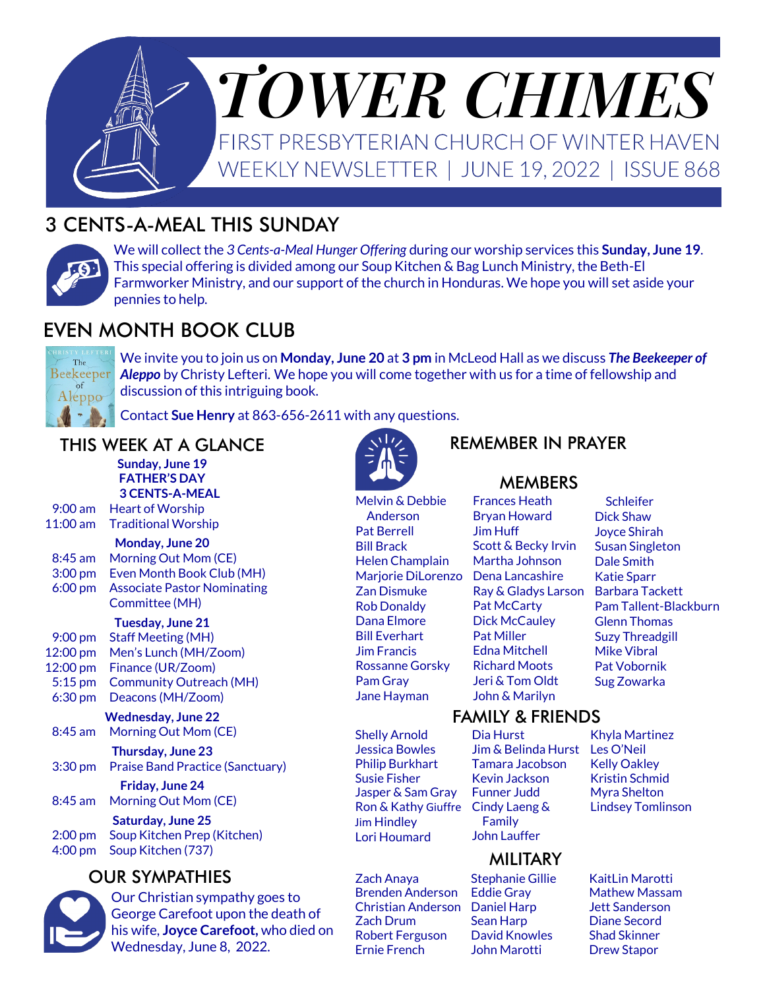

# 3 CENTS-A-MEAL THIS SUNDAY



We will collect the *3 Cents-a-Meal Hunger Offering* during our worship services this **Sunday, June 19**. This special offering is divided among our Soup Kitchen & Bag Lunch Ministry, the Beth-El Farmworker Ministry, and our support of the church in Honduras. We hope you will set aside your pennies to help.

# EVEN MONTH BOOK CLUB



We invite you to join us on **Monday, June 20** at **3 pm** in McLeod Hall as we discuss *The Beekeeper of Aleppo* by Christy Lefteri. We hope you will come together with us for a time of fellowship and discussion of this intriguing book.

Contact **Sue Henry** at 863-656-2611 with any questions.

### THIS WEEK AT A GLANCE

**Sunday, June 19 FATHER'S DAY 3 CENTS-A-MEAL** 9:00 am Heart of Worship 11:00 am Traditional Worship **Monday, June 20** 8:45 am Morning Out Mom (CE) 3:00 pm Even Month Book Club (MH) 6:00 pm Associate Pastor Nominating Committee (MH) **Tuesday, June 21** 9:00 pm Staff Meeting (MH) 12:00 pm Men's Lunch (MH/Zoom) 12:00 pm Finance (UR/Zoom) 5:15 pm Community Outreach (MH) 6:30 pm Deacons (MH/Zoom)

**Wednesday, June 22** 8:45 am Morning Out Mom (CE)

**Thursday, June 23** 3:30 pm Praise Band Practice (Sanctuary)

**Friday, June 24** 8:45 am Morning Out Mom (CE)

**Saturday, June 25** 2:00 pm Soup Kitchen Prep (Kitchen) 4:00 pm Soup Kitchen (737)

### OUR SYMPATHIES



Our Christian sympathy goes to George Carefoot upon the death of his wife, **Joyce Carefoot,** who died on Wednesday, June 8, 2022.



Melvin & Debbie Anderson Pat Berrell Bill Brack Helen Champlain Marjorie DiLorenzo Zan Dismuke Rob Donaldy Dana Elmore Bill Everhart Jim Francis Rossanne Gorsky Pam Gray Jane Hayman

REMEMBER IN PRAYER

#### **MEMBERS**

Frances Heath Bryan Howard Jim Huff Scott & Becky Irvin Martha Johnson Dena Lancashire Ray & Gladys Larson Pat McCarty Dick McCauley Pat Miller Edna Mitchell Richard Moots Jeri & Tom Oldt John & Marilyn

#### **Schleifer** Dick Shaw Joyce Shirah Susan Singleton Dale Smith Katie Sparr Barbara Tackett Pam Tallent-Blackburn Glenn Thomas Suzy Threadgill Mike Vibral Pat Vobornik Sug Zowarka

#### FAMILY & FRIENDS

Shelly Arnold Jessica Bowles Philip Burkhart Susie Fisher Jasper & Sam Gray Ron & Kathy Giuffre Cindy Laeng & Jim Hindley Lori Houmard

Zach Anaya Brenden Anderson Christian Anderson Daniel Harp Zach Drum Robert Ferguson Ernie French

Dia Hurst Jim & Belinda Hurst Tamara Jacobson Kevin Jackson Funner Judd Family John Lauffer

### **MILITARY**

Stephanie Gillie Eddie Gray Sean Harp David Knowles John Marotti

Khyla Martinez Les O'Neil Kelly Oakley Kristin Schmid Myra Shelton Lindsey Tomlinson

KaitLin Marotti Mathew Massam Jett Sanderson Diane Secord Shad Skinner Drew Stapor